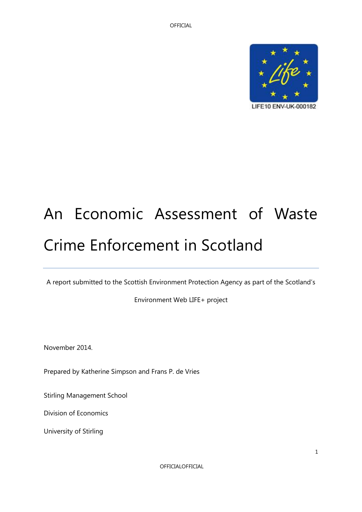

# An Economic Assessment of Waste Crime Enforcement in Scotland

A report submitted to the Scottish Environment Protection Agency as part of the Scotland's

Environment Web LIFE+ project

November 2014.

Prepared by Katherine Simpson and Frans P. de Vries

Stirling Management School

Division of Economics

University of Stirling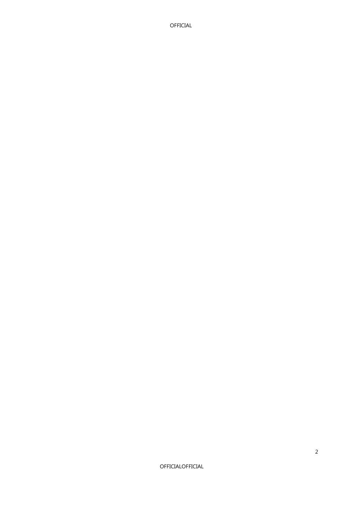OFFICIALOFFICIAL

2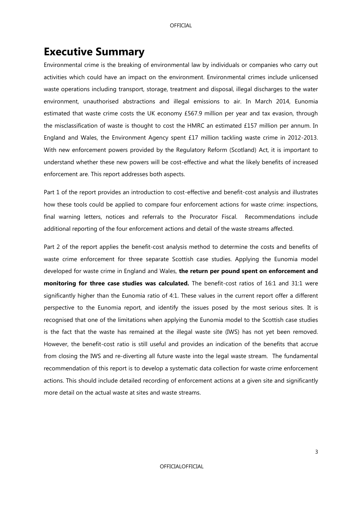## <span id="page-2-0"></span>**Executive Summary**

Environmental crime is the breaking of environmental law by individuals or companies who carry out activities which could have an impact on the environment. Environmental crimes include unlicensed waste operations including transport, storage, treatment and disposal, illegal discharges to the water environment, unauthorised abstractions and illegal emissions to air. In March 2014, Eunomia estimated that waste crime costs the UK economy £567.9 million per year and tax evasion, through the misclassification of waste is thought to cost the HMRC an estimated £157 million per annum. In England and Wales, the Environment Agency spent £17 million tackling waste crime in 2012-2013. With new enforcement powers provided by the Regulatory Reform (Scotland) Act, it is important to understand whether these new powers will be cost-effective and what the likely benefits of increased enforcement are. This report addresses both aspects.

Part 1 of the report provides an introduction to cost-effective and benefit-cost analysis and illustrates how these tools could be applied to compare four enforcement actions for waste crime: inspections, final warning letters, notices and referrals to the Procurator Fiscal. Recommendations include additional reporting of the four enforcement actions and detail of the waste streams affected.

Part 2 of the report applies the benefit-cost analysis method to determine the costs and benefits of waste crime enforcement for three separate Scottish case studies. Applying the Eunomia model developed for waste crime in England and Wales, **the return per pound spent on enforcement and monitoring for three case studies was calculated.** The benefit-cost ratios of 16:1 and 31:1 were significantly higher than the Eunomia ratio of 4:1. These values in the current report offer a different perspective to the Eunomia report, and identify the issues posed by the most serious sites. It is recognised that one of the limitations when applying the Eunomia model to the Scottish case studies is the fact that the waste has remained at the illegal waste site (IWS) has not yet been removed. However, the benefit-cost ratio is still useful and provides an indication of the benefits that accrue from closing the IWS and re-diverting all future waste into the legal waste stream. The fundamental recommendation of this report is to develop a systematic data collection for waste crime enforcement actions. This should include detailed recording of enforcement actions at a given site and significantly more detail on the actual waste at sites and waste streams.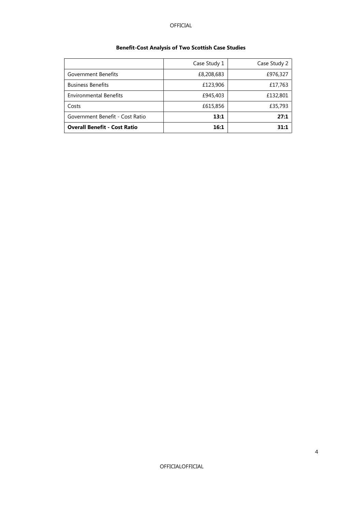|                                     | Case Study 1 | Case Study 2 |
|-------------------------------------|--------------|--------------|
| <b>Government Benefits</b>          | £8,208,683   | £976,327     |
| <b>Business Benefits</b>            | £123,906     | £17,763      |
| <b>Environmental Benefits</b>       | £945,403     | £132,801     |
| Costs                               | £615,856     | £35,793      |
| Government Benefit - Cost Ratio     | 13:1         | 27:1         |
| <b>Overall Benefit - Cost Ratio</b> | 16:1         | 31:1         |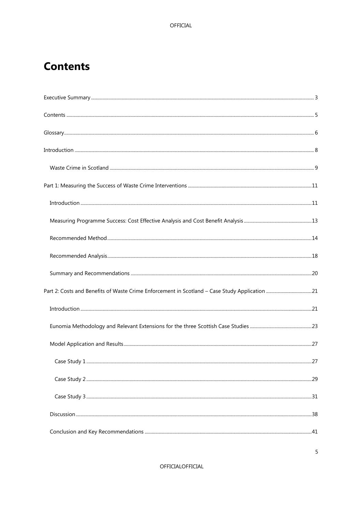# <span id="page-4-0"></span>**Contents**

| $Intraction \, 11 \,$                                                                         |  |
|-----------------------------------------------------------------------------------------------|--|
|                                                                                               |  |
|                                                                                               |  |
|                                                                                               |  |
|                                                                                               |  |
| Part 2: Costs and Benefits of Waste Crime Enforcement in Scotland - Case Study Application 21 |  |
|                                                                                               |  |
|                                                                                               |  |
|                                                                                               |  |
|                                                                                               |  |
|                                                                                               |  |
|                                                                                               |  |
|                                                                                               |  |
|                                                                                               |  |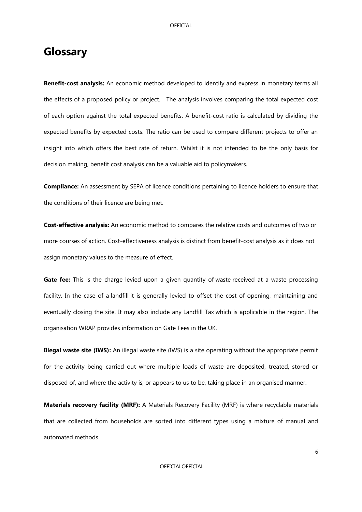## <span id="page-5-0"></span>**Glossary**

**Benefit-cost analysis:** An economic method developed to identify and express in monetary terms all the effects of a proposed policy or project. The analysis involves comparing the total expected cost of each option against the total expected benefits. A benefit-cost ratio is calculated by dividing the expected benefits by expected costs. The ratio can be used to compare different projects to offer an insight into which offers the best rate of return. Whilst it is not intended to be the only basis for decision making, benefit cost analysis can be a valuable aid to policymakers.

**Compliance:** An assessment by SEPA of licence conditions pertaining to licence holders to ensure that the conditions of their licence are being met.

**Cost-effective analysis:** An economic method to compares the relative costs and outcomes of two or more courses of action. Cost-effectiveness analysis is distinct from benefit-cost analysis as it does not assign monetary values to the measure of effect.

Gate fee: This is the charge levied upon a given quantity of [waste](http://en.wikipedia.org/wiki/Waste) received at a waste processing facility. In the case of a [landfill](http://en.wikipedia.org/wiki/Landfill) it is generally levied to offset the cost of opening, maintaining and eventually closing the site. It may also include any [Landfill Tax](http://en.wikipedia.org/wiki/Landfill_tax) which is applicable in the region. The organisation WRAP provides information on Gate Fees in the UK.

**Illegal waste site (IWS):** An illegal waste site (IWS) is a site operating without the appropriate permit for the activity being carried out where multiple loads of waste are deposited, treated, stored or disposed of, and where the activity is, or appears to us to be, taking place in an organised manner.

**Materials recovery facility (MRF):** A Materials Recovery Facility (MRF) is where recyclable materials that are collected from households are sorted into different types using a mixture of manual and automated methods.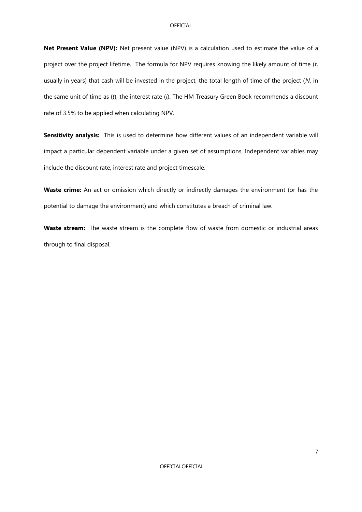**Net Present Value (NPV):** Net present value (NPV) is a calculation used to estimate the value of a project over the project lifetime. The formula for NPV requires knowing the likely amount of time (*t*, usually in years) that cash will be invested in the project, the total length of time of the project (*N*, in the same unit of time as (*t*), the interest rate (*i*). The HM Treasury Green Book recommends a discount rate of 3.5% to be applied when calculating NPV.

**Sensitivity analysis:** This is used to determine how different values of an independent variable will impact a particular dependent variable under a given set of assumptions. Independent variables may include the discount rate, interest rate and project timescale.

Waste crime: An act or omission which directly or indirectly damages the environment (or has the potential to damage the environment) and which constitutes a breach of criminal law.

**Waste stream:** The waste stream is the complete flow of waste from domestic or industrial areas through to final disposal.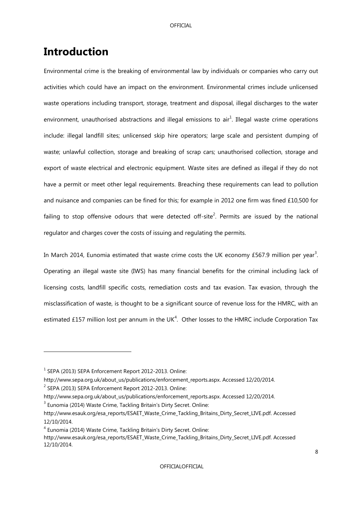## <span id="page-7-0"></span>**Introduction**

Environmental crime is the breaking of environmental law by individuals or companies who carry out activities which could have an impact on the environment. Environmental crimes include unlicensed waste operations including transport, storage, treatment and disposal, illegal discharges to the water environment, unauthorised abstractions and illegal emissions to air<sup>1</sup>. Illegal waste crime operations include: illegal landfill sites; unlicensed skip hire operators; large scale and persistent dumping of waste; unlawful collection, storage and breaking of scrap cars; unauthorised collection, storage and export of waste electrical and electronic equipment. Waste sites are defined as illegal if they do not have a permit or meet other legal requirements. Breaching these requirements can lead to pollution and nuisance and companies can be fined for this; for example in 2012 one firm was fined £10,500 for failing to stop offensive odours that were detected off-site<sup>2</sup>. Permits are issued by the national regulator and charges cover the costs of issuing and regulating the permits.

In March 2014, Eunomia estimated that waste crime costs the UK economy £567.9 million per year<sup>3</sup>. Operating an illegal waste site (IWS) has many financial benefits for the criminal including lack of licensing costs, landfill specific costs, remediation costs and tax evasion. Tax evasion, through the misclassification of waste, is thought to be a significant source of revenue loss for the HMRC, with an estimated £157 million lost per annum in the UK<sup>4</sup>. Other losses to the HMRC include Corporation Tax

 $\overline{a}$ 

<sup>&</sup>lt;sup>1</sup> SEPA (2013) SEPA Enforcement Report 2012-2013. Online:

http://www.sepa.org.uk/about\_us/publications/enforcement\_reports.aspx. Accessed 12/20/2014.

 $2$  SEPA (2013) SEPA Enforcement Report 2012-2013. Online:

http://www.sepa.org.uk/about\_us/publications/enforcement\_reports.aspx. Accessed 12/20/2014.

<sup>&</sup>lt;sup>3</sup> Eunomia (2014) Waste Crime, Tackling Britain's Dirty Secret. Online:

http://www.esauk.org/esa\_reports/ESAET\_Waste\_Crime\_Tackling\_Britains\_Dirty\_Secret\_LIVE.pdf. Accessed 12/10/2014.

<sup>4</sup> Eunomia (2014) Waste Crime, Tackling Britain's Dirty Secret. Online:

http://www.esauk.org/esa\_reports/ESAET\_Waste\_Crime\_Tackling\_Britains\_Dirty\_Secret\_LIVE.pdf. Accessed 12/10/2014.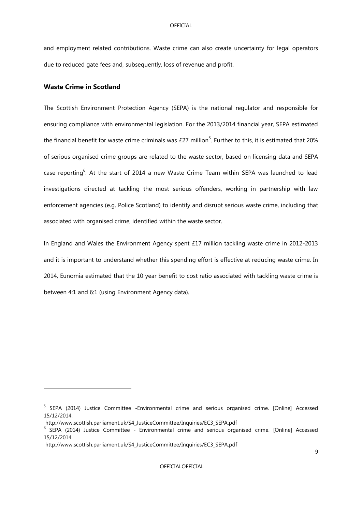and employment related contributions. Waste crime can also create uncertainty for legal operators due to reduced gate fees and, subsequently, loss of revenue and profit.

#### <span id="page-8-0"></span>**Waste Crime in Scotland**

 $\overline{a}$ 

The Scottish Environment Protection Agency (SEPA) is the national regulator and responsible for ensuring compliance with environmental legislation. For the 2013/2014 financial year, SEPA estimated the financial benefit for waste crime criminals was £27 million<sup>5</sup>. Further to this, it is estimated that 20% of serious organised crime groups are related to the waste sector, based on licensing data and SEPA case reporting<sup>6</sup>. At the start of 2014 a new Waste Crime Team within SEPA was launched to lead investigations directed at tackling the most serious offenders, working in partnership with law enforcement agencies (e.g. Police Scotland) to identify and disrupt serious waste crime, including that associated with organised crime, identified within the waste sector.

In England and Wales the Environment Agency spent £17 million tackling waste crime in 2012-2013 and it is important to understand whether this spending effort is effective at reducing waste crime. In 2014, Eunomia estimated that the 10 year benefit to cost ratio associated with tackling waste crime is between 4:1 and 6:1 (using Environment Agency data).

<sup>&</sup>lt;sup>5</sup> SEPA (2014) Justice Committee -Environmental crime and serious organised crime. [Online] Accessed 15/12/2014.

http://www.scottish.parliament.uk/S4\_JusticeCommittee/Inquiries/EC3\_SEPA.pdf

<sup>&</sup>lt;sup>6</sup> SEPA (2014) Justice Committee - Environmental crime and serious organised crime. [Online] Accessed 15/12/2014.

http://www.scottish.parliament.uk/S4\_JusticeCommittee/Inquiries/EC3\_SEPA.pdf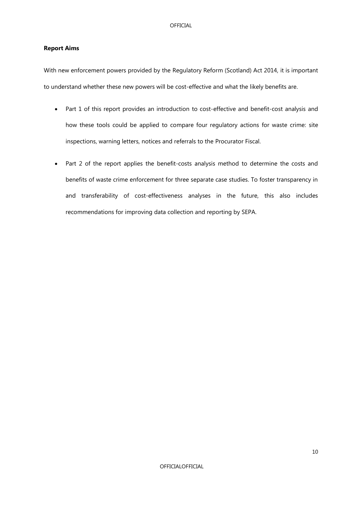#### **Report Aims**

With new enforcement powers provided by the Regulatory Reform (Scotland) Act 2014, it is important to understand whether these new powers will be cost-effective and what the likely benefits are.

- Part 1 of this report provides an introduction to cost-effective and benefit-cost analysis and how these tools could be applied to compare four regulatory actions for waste crime: site inspections, warning letters, notices and referrals to the Procurator Fiscal.
- Part 2 of the report applies the benefit-costs analysis method to determine the costs and benefits of waste crime enforcement for three separate case studies. To foster transparency in and transferability of cost-effectiveness analyses in the future, this also includes recommendations for improving data collection and reporting by SEPA.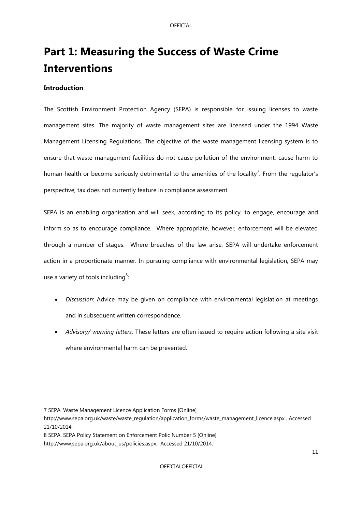# <span id="page-10-0"></span>**Part 1: Measuring the Success of Waste Crime Interventions**

#### <span id="page-10-1"></span>**Introduction**

 $\overline{a}$ 

The Scottish Environment Protection Agency (SEPA) is responsible for issuing licenses to waste management sites. The majority of waste management sites are licensed under the 1994 Waste Management Licensing Regulations. The objective of the waste management licensing system is to ensure that waste management facilities do not cause pollution of the environment, cause harm to human health or become seriously detrimental to the amenities of the locality<sup>7</sup>. From the regulator's perspective, tax does not currently feature in compliance assessment.

SEPA is an enabling organisation and will seek, according to its policy, to engage, encourage and inform so as to encourage compliance. Where appropriate, however, enforcement will be elevated through a number of stages. Where breaches of the law arise, SEPA will undertake enforcement action in a proportionate manner. In pursuing compliance with environmental legislation, SEPA may use a variety of tools including<sup>8</sup>:

- *Discussion*: Advice may be given on compliance with environmental legislation at meetings and in subsequent written correspondence.
- *Advisory/ warning letters:* These letters are often issued to require action following a site visit where environmental harm can be prevented.

<sup>7</sup> SEPA. Waste Management Licence Application Forms [Online]

[http://www.sepa.org.uk/waste/waste\\_regulation/application\\_forms/waste\\_management\\_licence.aspx](http://www.sepa.org.uk/waste/waste_regulation/application_forms/waste_management_licence.aspx) . Accessed 21/10/2014.

<sup>8</sup> SEPA. SEPA Policy Statement on Enforcement Polic Number 5 [Online]

[http://www.sepa.org.uk/about\\_us/policies.aspx.](http://www.sepa.org.uk/about_us/policies.aspx) Accessed 21/10/2014.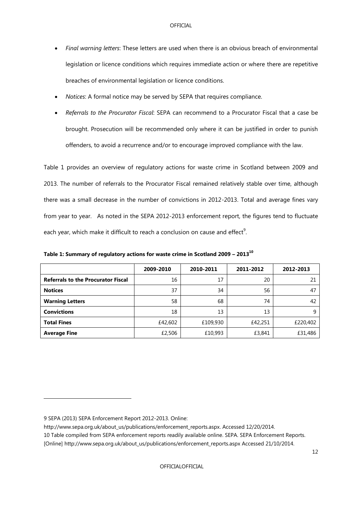- *Final warning letters*: These letters are used when there is an obvious breach of environmental legislation or licence conditions which requires immediate action or where there are repetitive breaches of environmental legislation or licence conditions.
- *Notices*: A formal notice may be served by SEPA that requires compliance.
- *Referrals to the Procurator Fiscal*: SEPA can recommend to a Procurator Fiscal that a case be brought. Prosecution will be recommended only where it can be justified in order to punish offenders, to avoid a recurrence and/or to encourage improved compliance with the law.

Table 1 provides an overview of regulatory actions for waste crime in Scotland between 2009 and 2013. The number of referrals to the Procurator Fiscal remained relatively stable over time, although there was a small decrease in the number of convictions in 2012-2013. Total and average fines vary from year to year. As noted in the SEPA 2012-2013 enforcement report, the figures tend to fluctuate each year, which make it difficult to reach a conclusion on cause and effect<sup>9</sup>.

|                                           | 2009-2010 | 2010-2011 | 2011-2012 | 2012-2013 |
|-------------------------------------------|-----------|-----------|-----------|-----------|
| <b>Referrals to the Procurator Fiscal</b> | 16        | 17        | 20        | 21        |
| <b>Notices</b>                            | 37        | 34        | 56        | 47        |
| <b>Warning Letters</b>                    | 58        | 68        | 74        | 42        |
| <b>Convictions</b>                        | 18        | 13        | 13        | q         |
| <b>Total Fines</b>                        | £42,602   | £109,930  | £42,251   | £220,402  |
| <b>Average Fine</b>                       | £2,506    | £10,993   | £3,841    | £31,486   |

**Table 1: Summary of regulatory actions for waste crime in Scotland 2009 – 2013<sup>10</sup>**

 $\overline{a}$ 

<sup>9</sup> SEPA (2013) SEPA Enforcement Report 2012-2013. Online:

[http://www.sepa.org.uk/about\\_us/publications/enforcement\\_reports.aspx.](http://www.sepa.org.uk/about_us/publications/enforcement_reports.aspx) Accessed 12/20/2014.

<sup>10</sup> Table compiled from SEPA enforcement reports readily available online. SEPA. SEPA Enforcement Reports. [Online] [http://www.sepa.org.uk/about\\_us/publications/enforcement\\_reports.aspx](http://www.sepa.org.uk/about_us/publications/enforcement_reports.aspx) Accessed 21/10/2014.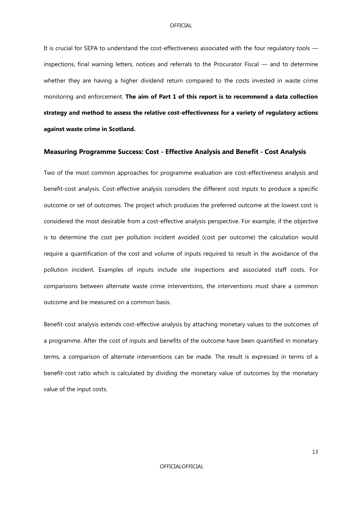It is crucial for SEPA to understand the cost-effectiveness associated with the four regulatory tools ― inspections, final warning letters, notices and referrals to the Procurator Fiscal ― and to determine whether they are having a higher dividend return compared to the costs invested in waste crime monitoring and enforcement. **The aim of Part 1 of this report is to recommend a data collection strategy and method to assess the relative cost-effectiveness for a variety of regulatory actions against waste crime in Scotland.** 

#### <span id="page-12-0"></span>**Measuring Programme Success: Cost - Effective Analysis and Benefit - Cost Analysis**

Two of the most common approaches for programme evaluation are cost-effectiveness analysis and benefit-cost analysis. Cost-effective analysis considers the different cost inputs to produce a specific outcome or set of outcomes. The project which produces the preferred outcome at the lowest cost is considered the most desirable from a cost-effective analysis perspective. For example, if the objective is to determine the cost per pollution incident avoided (cost per outcome) the calculation would require a quantification of the cost and volume of inputs required to result in the avoidance of the pollution incident. Examples of inputs include site inspections and associated staff costs. For comparisons between alternate waste crime interventions, the interventions must share a common outcome and be measured on a common basis.

Benefit-cost analysis extends cost-effective analysis by attaching monetary values to the outcomes of a programme. After the cost of inputs and benefits of the outcome have been quantified in monetary terms, a comparison of alternate interventions can be made. The result is expressed in terms of a benefit-cost ratio which is calculated by dividing the monetary value of outcomes by the monetary value of the input costs.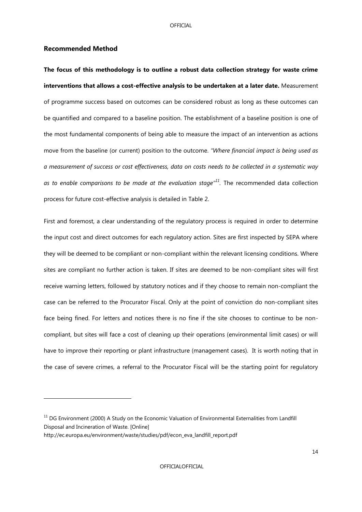#### <span id="page-13-0"></span>**Recommended Method**

**The focus of this methodology is to outline a robust data collection strategy for waste crime interventions that allows a cost-effective analysis to be undertaken at a later date.** Measurement of programme success based on outcomes can be considered robust as long as these outcomes can be quantified and compared to a baseline position. The establishment of a baseline position is one of the most fundamental components of being able to measure the impact of an intervention as actions move from the baseline (or current) position to the outcome. *"Where financial impact is being used as a measurement of success or cost effectiveness, data on costs needs to be collected in a systematic way as to enable comparisons to be made at the evaluation stage"<sup>11</sup> .* The recommended data collection process for future cost-effective analysis is detailed in Table 2.

First and foremost, a clear understanding of the regulatory process is required in order to determine the input cost and direct outcomes for each regulatory action. Sites are first inspected by SEPA where they will be deemed to be compliant or non-compliant within the relevant licensing conditions. Where sites are compliant no further action is taken. If sites are deemed to be non-compliant sites will first receive warning letters, followed by statutory notices and if they choose to remain non-compliant the case can be referred to the Procurator Fiscal. Only at the point of conviction do non-compliant sites face being fined. For letters and notices there is no fine if the site chooses to continue to be noncompliant, but sites will face a cost of cleaning up their operations (environmental limit cases) or will have to improve their reporting or plant infrastructure (management cases). It is worth noting that in the case of severe crimes, a referral to the Procurator Fiscal will be the starting point for regulatory

 $\overline{a}$ 

 $11$  DG Environment (2000) A Study on the Economic Valuation of Environmental Externalities from Landfill Disposal and Incineration of Waste. [Online]

http://ec.europa.eu/environment/waste/studies/pdf/econ\_eva\_landfill\_report.pdf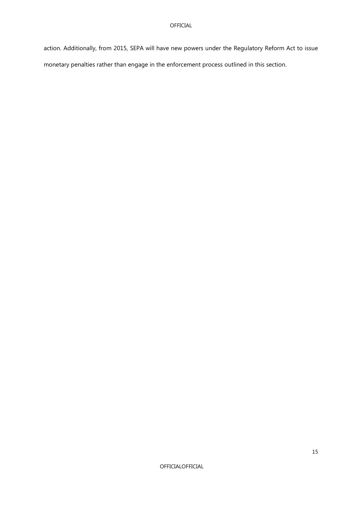action. Additionally, from 2015, SEPA will have new powers under the Regulatory Reform Act to issue monetary penalties rather than engage in the enforcement process outlined in this section.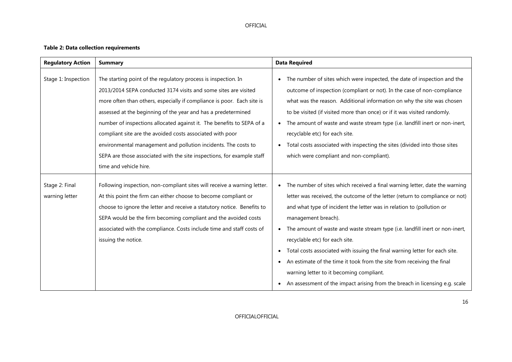#### **Table 2: Data collection requirements**

| <b>Regulatory Action</b>         | Summary                                                                                                                                                                                                                                                                                                                                                                                                                                                                                                                                                                                  | <b>Data Required</b>                                                                                                                                                                                                                                                                                                                                                                                                                                                                                                                                                                                                                                                                        |  |
|----------------------------------|------------------------------------------------------------------------------------------------------------------------------------------------------------------------------------------------------------------------------------------------------------------------------------------------------------------------------------------------------------------------------------------------------------------------------------------------------------------------------------------------------------------------------------------------------------------------------------------|---------------------------------------------------------------------------------------------------------------------------------------------------------------------------------------------------------------------------------------------------------------------------------------------------------------------------------------------------------------------------------------------------------------------------------------------------------------------------------------------------------------------------------------------------------------------------------------------------------------------------------------------------------------------------------------------|--|
| Stage 1: Inspection              | The starting point of the regulatory process is inspection. In<br>2013/2014 SEPA conducted 3174 visits and some sites are visited<br>more often than others, especially if compliance is poor. Each site is<br>assessed at the beginning of the year and has a predetermined<br>number of inspections allocated against it. The benefits to SEPA of a<br>compliant site are the avoided costs associated with poor<br>environmental management and pollution incidents. The costs to<br>SEPA are those associated with the site inspections, for example staff<br>time and vehicle hire. | The number of sites which were inspected, the date of inspection and the<br>outcome of inspection (compliant or not). In the case of non-compliance<br>what was the reason. Additional information on why the site was chosen<br>to be visited (if visited more than once) or if it was visited randomly.<br>The amount of waste and waste stream type (i.e. landfill inert or non-inert,<br>recyclable etc) for each site.<br>Total costs associated with inspecting the sites (divided into those sites<br>$\bullet$<br>which were compliant and non-compliant).                                                                                                                          |  |
| Stage 2: Final<br>warning letter | Following inspection, non-compliant sites will receive a warning letter.<br>At this point the firm can either choose to become compliant or<br>choose to ignore the letter and receive a statutory notice. Benefits to<br>SEPA would be the firm becoming compliant and the avoided costs<br>associated with the compliance. Costs include time and staff costs of<br>issuing the notice.                                                                                                                                                                                                | The number of sites which received a final warning letter, date the warning<br>letter was received, the outcome of the letter (return to compliance or not)<br>and what type of incident the letter was in relation to (pollution or<br>management breach).<br>The amount of waste and waste stream type (i.e. landfill inert or non-inert,<br>$\bullet$<br>recyclable etc) for each site.<br>Total costs associated with issuing the final warning letter for each site.<br>$\bullet$<br>An estimate of the time it took from the site from receiving the final<br>warning letter to it becoming compliant.<br>An assessment of the impact arising from the breach in licensing e.g. scale |  |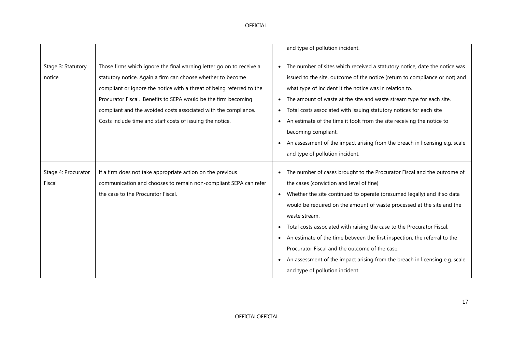|                               |                                                                                                                                                                                                                                                                                                                                                                                                                | and type of pollution incident.                                                                                                                                                                                                                                                                                                                                                                                                                                                                                                                                                                                                                                          |
|-------------------------------|----------------------------------------------------------------------------------------------------------------------------------------------------------------------------------------------------------------------------------------------------------------------------------------------------------------------------------------------------------------------------------------------------------------|--------------------------------------------------------------------------------------------------------------------------------------------------------------------------------------------------------------------------------------------------------------------------------------------------------------------------------------------------------------------------------------------------------------------------------------------------------------------------------------------------------------------------------------------------------------------------------------------------------------------------------------------------------------------------|
| Stage 3: Statutory<br>notice  | Those firms which ignore the final warning letter go on to receive a<br>statutory notice. Again a firm can choose whether to become<br>compliant or ignore the notice with a threat of being referred to the<br>Procurator Fiscal. Benefits to SEPA would be the firm becoming<br>compliant and the avoided costs associated with the compliance.<br>Costs include time and staff costs of issuing the notice. | The number of sites which received a statutory notice, date the notice was<br>$\bullet$<br>issued to the site, outcome of the notice (return to compliance or not) and<br>what type of incident it the notice was in relation to.<br>The amount of waste at the site and waste stream type for each site.<br>$\bullet$<br>Total costs associated with issuing statutory notices for each site<br>$\bullet$<br>An estimate of the time it took from the site receiving the notice to<br>$\bullet$<br>becoming compliant.<br>An assessment of the impact arising from the breach in licensing e.g. scale<br>$\bullet$<br>and type of pollution incident.                   |
| Stage 4: Procurator<br>Fiscal | If a firm does not take appropriate action on the previous<br>communication and chooses to remain non-compliant SEPA can refer<br>the case to the Procurator Fiscal.                                                                                                                                                                                                                                           | The number of cases brought to the Procurator Fiscal and the outcome of<br>the cases (conviction and level of fine)<br>Whether the site continued to operate (presumed legally) and if so data<br>$\bullet$<br>would be required on the amount of waste processed at the site and the<br>waste stream.<br>Total costs associated with raising the case to the Procurator Fiscal.<br>$\bullet$<br>An estimate of the time between the first inspection, the referral to the<br>$\bullet$<br>Procurator Fiscal and the outcome of the case.<br>An assessment of the impact arising from the breach in licensing e.g. scale<br>$\bullet$<br>and type of pollution incident. |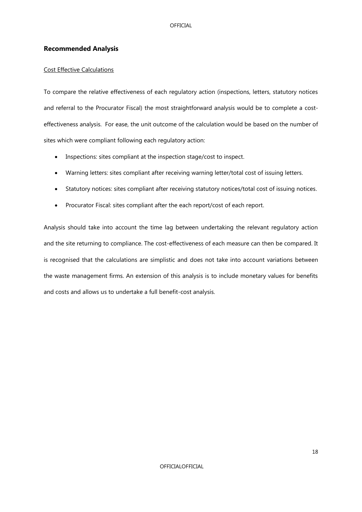#### <span id="page-17-0"></span>**Recommended Analysis**

#### Cost Effective Calculations

To compare the relative effectiveness of each regulatory action (inspections, letters, statutory notices and referral to the Procurator Fiscal) the most straightforward analysis would be to complete a costeffectiveness analysis. For ease, the unit outcome of the calculation would be based on the number of sites which were compliant following each regulatory action:

- Inspections: sites compliant at the inspection stage/cost to inspect.
- Warning letters: sites compliant after receiving warning letter/total cost of issuing letters.
- Statutory notices: sites compliant after receiving statutory notices/total cost of issuing notices.
- Procurator Fiscal: sites compliant after the each report/cost of each report.

Analysis should take into account the time lag between undertaking the relevant regulatory action and the site returning to compliance. The cost-effectiveness of each measure can then be compared. It is recognised that the calculations are simplistic and does not take into account variations between the waste management firms. An extension of this analysis is to include monetary values for benefits and costs and allows us to undertake a full benefit-cost analysis.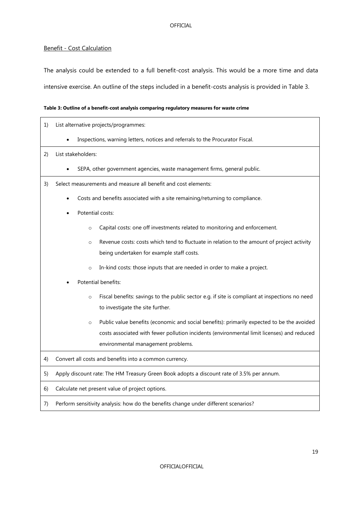#### Benefit - Cost Calculation

The analysis could be extended to a full benefit-cost analysis. This would be a more time and data intensive exercise. An outline of the steps included in a benefit-costs analysis is provided in Table 3.

#### **Table 3: Outline of a benefit-cost analysis comparing regulatory measures for waste crime**

| 1) | List alternative projects/programmes:                                                                     |  |  |  |  |
|----|-----------------------------------------------------------------------------------------------------------|--|--|--|--|
|    | Inspections, warning letters, notices and referrals to the Procurator Fiscal.                             |  |  |  |  |
| 2) | List stakeholders:                                                                                        |  |  |  |  |
|    | SEPA, other government agencies, waste management firms, general public.                                  |  |  |  |  |
| 3) | Select measurements and measure all benefit and cost elements:                                            |  |  |  |  |
|    | Costs and benefits associated with a site remaining/returning to compliance.<br>$\bullet$                 |  |  |  |  |
|    | Potential costs:                                                                                          |  |  |  |  |
|    | Capital costs: one off investments related to monitoring and enforcement.<br>$\circ$                      |  |  |  |  |
|    | Revenue costs: costs which tend to fluctuate in relation to the amount of project activity<br>$\circ$     |  |  |  |  |
|    | being undertaken for example staff costs.                                                                 |  |  |  |  |
|    | In-kind costs: those inputs that are needed in order to make a project.<br>$\circ$                        |  |  |  |  |
|    | Potential benefits:                                                                                       |  |  |  |  |
|    | Fiscal benefits: savings to the public sector e.g. if site is compliant at inspections no need<br>$\circ$ |  |  |  |  |
|    | to investigate the site further.                                                                          |  |  |  |  |
|    | Public value benefits (economic and social benefits): primarily expected to be the avoided<br>$\circ$     |  |  |  |  |
|    | costs associated with fewer pollution incidents (environmental limit licenses) and reduced                |  |  |  |  |
|    | environmental management problems.                                                                        |  |  |  |  |
| 4) | Convert all costs and benefits into a common currency.                                                    |  |  |  |  |
| 5) | Apply discount rate: The HM Treasury Green Book adopts a discount rate of 3.5% per annum.                 |  |  |  |  |
| 6) | Calculate net present value of project options.                                                           |  |  |  |  |

7) Perform sensitivity analysis: how do the benefits change under different scenarios?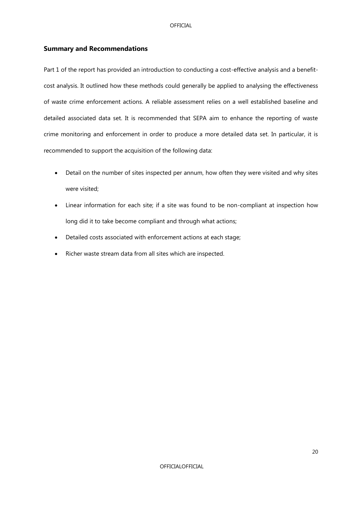#### <span id="page-19-0"></span>**Summary and Recommendations**

Part 1 of the report has provided an introduction to conducting a cost-effective analysis and a benefitcost analysis. It outlined how these methods could generally be applied to analysing the effectiveness of waste crime enforcement actions. A reliable assessment relies on a well established baseline and detailed associated data set. It is recommended that SEPA aim to enhance the reporting of waste crime monitoring and enforcement in order to produce a more detailed data set. In particular, it is recommended to support the acquisition of the following data:

- Detail on the number of sites inspected per annum, how often they were visited and why sites were visited;
- Linear information for each site; if a site was found to be non-compliant at inspection how long did it to take become compliant and through what actions;
- Detailed costs associated with enforcement actions at each stage;
- Richer waste stream data from all sites which are inspected.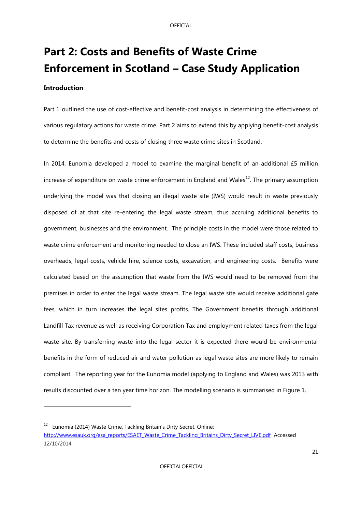# <span id="page-20-0"></span>**Part 2: Costs and Benefits of Waste Crime Enforcement in Scotland – Case Study Application**

#### <span id="page-20-1"></span>**Introduction**

 $\overline{a}$ 

Part 1 outlined the use of cost-effective and benefit-cost analysis in determining the effectiveness of various regulatory actions for waste crime. Part 2 aims to extend this by applying benefit-cost analysis to determine the benefits and costs of closing three waste crime sites in Scotland.

In 2014, Eunomia developed a model to examine the marginal benefit of an additional £5 million increase of expenditure on waste crime enforcement in England and Wales $^{12}$ . The primary assumption underlying the model was that closing an illegal waste site (IWS) would result in waste previously disposed of at that site re-entering the legal waste stream, thus accruing additional benefits to government, businesses and the environment. The principle costs in the model were those related to waste crime enforcement and monitoring needed to close an IWS. These included staff costs, business overheads, legal costs, vehicle hire, science costs, excavation, and engineering costs. Benefits were calculated based on the assumption that waste from the IWS would need to be removed from the premises in order to enter the legal waste stream. The legal waste site would receive additional gate fees, which in turn increases the legal sites profits. The Government benefits through additional Landfill Tax revenue as well as receiving Corporation Tax and employment related taxes from the legal waste site. By transferring waste into the legal sector it is expected there would be environmental benefits in the form of reduced air and water pollution as legal waste sites are more likely to remain compliant. The reporting year for the Eunomia model (applying to England and Wales) was 2013 with results discounted over a ten year time horizon. The modelling scenario is summarised in Figure 1.

<sup>&</sup>lt;sup>12</sup> Eunomia (2014) Waste Crime, Tackling Britain's Dirty Secret. Online:

[http://www.esauk.org/esa\\_reports/ESAET\\_Waste\\_Crime\\_Tackling\\_Britains\\_Dirty\\_Secret\\_LIVE.pdf](http://www.esauk.org/esa_reports/ESAET_Waste_Crime_Tackling_Britains_Dirty_Secret_LIVE.pdf) Accessed 12/10/2014.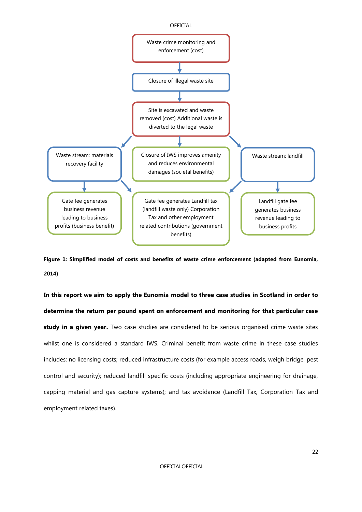

**Figure 1: Simplified model of costs and benefits of waste crime enforcement (adapted from Eunomia, 2014)**

**In this report we aim to apply the Eunomia model to three case studies in Scotland in order to determine the return per pound spent on enforcement and monitoring for that particular case study in a given year.** Two case studies are considered to be serious organised crime waste sites whilst one is considered a standard IWS. Criminal benefit from waste crime in these case studies includes: no licensing costs; reduced infrastructure costs (for example access roads, weigh bridge, pest control and security); reduced landfill specific costs (including appropriate engineering for drainage, capping material and gas capture systems); and tax avoidance (Landfill Tax, Corporation Tax and employment related taxes).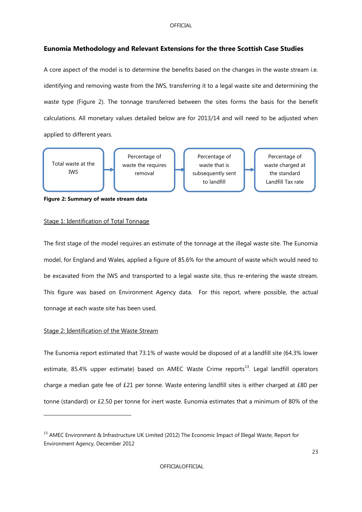#### <span id="page-22-0"></span>**Eunomia Methodology and Relevant Extensions for the three Scottish Case Studies**

A core aspect of the model is to determine the benefits based on the changes in the waste stream i.e. identifying and removing waste from the IWS, transferring it to a legal waste site and determining the waste type (Figure 2). The tonnage transferred between the sites forms the basis for the benefit calculations. All monetary values detailed below are for 2013/14 and will need to be adjusted when applied to different years.



#### **Figure 2: Summary of waste stream data**

#### Stage 1: Identification of Total Tonnage

The first stage of the model requires an estimate of the tonnage at the illegal waste site. The Eunomia model, for England and Wales, applied a figure of 85.6% for the amount of waste which would need to be excavated from the IWS and transported to a legal waste site, thus re-entering the waste stream. This figure was based on Environment Agency data. For this report, where possible, the actual tonnage at each waste site has been used.

#### Stage 2: Identification of the Waste Stream

 $\overline{a}$ 

The Eunomia report estimated that 73.1% of waste would be disposed of at a landfill site (64.3% lower estimate, 85.4% upper estimate) based on AMEC Waste Crime reports $^{13}$ . Legal landfill operators charge a median gate fee of £21 per tonne. Waste entering landfill sites is either charged at £80 per tonne (standard) or £2.50 per tonne for inert waste. Eunomia estimates that a minimum of 80% of the

<sup>&</sup>lt;sup>13</sup> AMEC Environment & Infrastructure UK Limited (2012) The Economic Impact of Illegal Waste, Report for Environment Agency, December 2012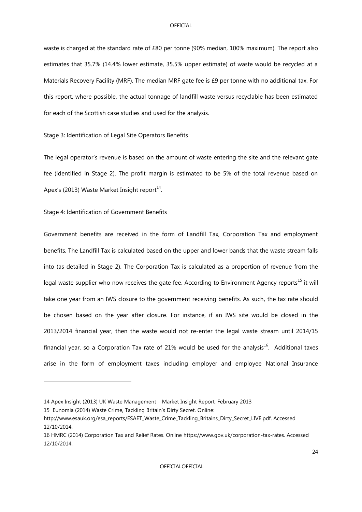waste is charged at the standard rate of £80 per tonne (90% median, 100% maximum). The report also estimates that 35.7% (14.4% lower estimate, 35.5% upper estimate) of waste would be recycled at a Materials Recovery Facility (MRF). The median MRF gate fee is £9 per tonne with no additional tax. For this report, where possible, the actual tonnage of landfill waste versus recyclable has been estimated for each of the Scottish case studies and used for the analysis.

#### Stage 3: Identification of Legal Site Operators Benefits

The legal operator's revenue is based on the amount of waste entering the site and the relevant gate fee (identified in Stage 2). The profit margin is estimated to be 5% of the total revenue based on Apex's (2013) Waste Market Insight report $^{14}$ .

#### Stage 4: Identification of Government Benefits

Government benefits are received in the form of Landfill Tax, Corporation Tax and employment benefits. The Landfill Tax is calculated based on the upper and lower bands that the waste stream falls into (as detailed in Stage 2). The Corporation Tax is calculated as a proportion of revenue from the legal waste supplier who now receives the gate fee. According to Environment Agency reports<sup>15</sup> it will take one year from an IWS closure to the government receiving benefits. As such, the tax rate should be chosen based on the year after closure. For instance, if an IWS site would be closed in the 2013/2014 financial year, then the waste would not re-enter the legal waste stream until 2014/15 financial year, so a Corporation Tax rate of 21% would be used for the analysis<sup>16</sup>. Additional taxes arise in the form of employment taxes including employer and employee National Insurance

 $\overline{a}$ 

<sup>14</sup> Apex Insight (2013) UK Waste Management – Market Insight Report, February 2013

<sup>15</sup> Eunomia (2014) Waste Crime, Tackling Britain's Dirty Secret. Online:

http://www.esauk.org/esa\_reports/ESAET\_Waste\_Crime\_Tackling\_Britains\_Dirty\_Secret\_LIVE.pdf. Accessed 12/10/2014.

<sup>16</sup> HMRC (2014) Corporation Tax and Relief Rates. Online [https://www.gov.uk/corporation-tax-rates.](https://www.gov.uk/corporation-tax-rates) Accessed 12/10/2014.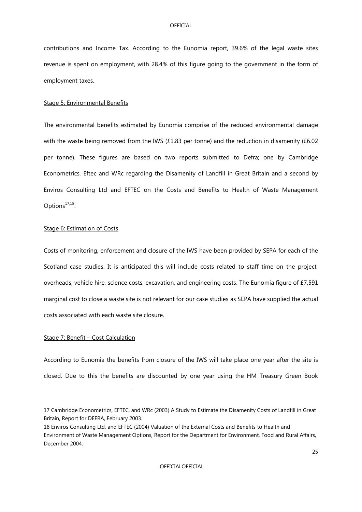contributions and Income Tax. According to the Eunomia report, 39.6% of the legal waste sites revenue is spent on employment, with 28.4% of this figure going to the government in the form of employment taxes.

#### Stage 5: Environmental Benefits

The environmental benefits estimated by Eunomia comprise of the reduced environmental damage with the waste being removed from the IWS (£1.83 per tonne) and the reduction in disamenity (£6.02 per tonne). These figures are based on two reports submitted to Defra; one by Cambridge Econometrics, Eftec and WRc regarding the Disamenity of Landfill in Great Britain and a second by Enviros Consulting Ltd and EFTEC on the Costs and Benefits to Health of Waste Management Options $17,18$ .

#### Stage 6: Estimation of Costs

Costs of monitoring, enforcement and closure of the IWS have been provided by SEPA for each of the Scotland case studies. It is anticipated this will include costs related to staff time on the project, overheads, vehicle hire, science costs, excavation, and engineering costs. The Eunomia figure of £7,591 marginal cost to close a waste site is not relevant for our case studies as SEPA have supplied the actual costs associated with each waste site closure.

#### Stage 7: Benefit – Cost Calculation

 $\overline{a}$ 

According to Eunomia the benefits from closure of the IWS will take place one year after the site is closed. Due to this the benefits are discounted by one year using the HM Treasury Green Book

<sup>17</sup> Cambridge Econometrics, EFTEC, and WRc (2003) A Study to Estimate the Disamenity Costs of Landfill in Great Britain, Report for DEFRA, February 2003.

<sup>18</sup> Enviros Consulting Ltd, and EFTEC (2004) Valuation of the External Costs and Benefits to Health and Environment of Waste Management Options, Report for the Department for Environment, Food and Rural Affairs, December 2004.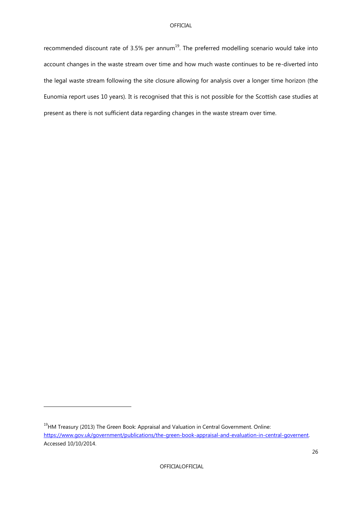recommended discount rate of 3.5% per annum<sup>19</sup>. The preferred modelling scenario would take into account changes in the waste stream over time and how much waste continues to be re-diverted into the legal waste stream following the site closure allowing for analysis over a longer time horizon (the Eunomia report uses 10 years). It is recognised that this is not possible for the Scottish case studies at present as there is not sufficient data regarding changes in the waste stream over time.

 $\overline{a}$ 

 $19$ HM Treasury (2013) The Green Book: Appraisal and Valuation in Central Government. Online: [https://www.gov.uk/government/publications/the-green-book-appraisal-and-evaluation-in-central-governent.](https://www.gov.uk/government/publications/the-green-book-appraisal-and-evaluation-in-central-governent)  Accessed 10/10/2014.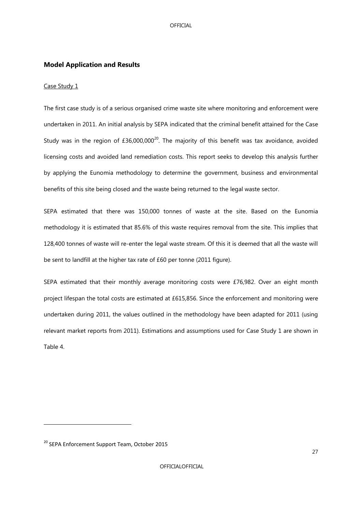#### <span id="page-26-0"></span>**Model Application and Results**

#### <span id="page-26-1"></span>Case Study 1

The first case study is of a serious organised crime waste site where monitoring and enforcement were undertaken in 2011. An initial analysis by SEPA indicated that the criminal benefit attained for the Case Study was in the region of  $£36,000,000^{20}$ . The majority of this benefit was tax avoidance, avoided licensing costs and avoided land remediation costs. This report seeks to develop this analysis further by applying the Eunomia methodology to determine the government, business and environmental benefits of this site being closed and the waste being returned to the legal waste sector.

SEPA estimated that there was 150,000 tonnes of waste at the site. Based on the Eunomia methodology it is estimated that 85.6% of this waste requires removal from the site. This implies that 128,400 tonnes of waste will re-enter the legal waste stream. Of this it is deemed that all the waste will be sent to landfill at the higher tax rate of £60 per tonne (2011 figure).

SEPA estimated that their monthly average monitoring costs were £76,982. Over an eight month project lifespan the total costs are estimated at £615,856. Since the enforcement and monitoring were undertaken during 2011, the values outlined in the methodology have been adapted for 2011 (using relevant market reports from 2011). Estimations and assumptions used for Case Study 1 are shown in Table 4.

 $\overline{a}$ 

<sup>&</sup>lt;sup>20</sup> SEPA Enforcement Support Team, October 2015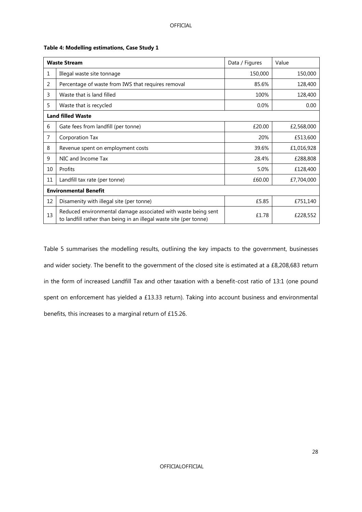| <b>Waste Stream</b>          |                                                                                                                                     | Data / Figures | Value      |
|------------------------------|-------------------------------------------------------------------------------------------------------------------------------------|----------------|------------|
| 1                            | Illegal waste site tonnage                                                                                                          | 150,000        | 150,000    |
| 2                            | Percentage of waste from IWS that requires removal                                                                                  | 85.6%          | 128,400    |
| 3                            | Waste that is land filled                                                                                                           | 100%           | 128,400    |
| 5                            | Waste that is recycled                                                                                                              | 0.0%           | 0.00       |
|                              | <b>Land filled Waste</b>                                                                                                            |                |            |
| 6                            | Gate fees from landfill (per tonne)                                                                                                 | £20.00         | £2,568,000 |
| $\overline{7}$               | Corporation Tax                                                                                                                     | 20%            | £513,600   |
| 8                            | Revenue spent on employment costs                                                                                                   | 39.6%          | £1,016,928 |
| 9                            | NIC and Income Tax                                                                                                                  | 28.4%          | £288,808   |
| 10                           | Profits                                                                                                                             | 5.0%           | £128,400   |
| 11                           | Landfill tax rate (per tonne)                                                                                                       | £60.00         | £7,704,000 |
| <b>Environmental Benefit</b> |                                                                                                                                     |                |            |
| 12                           | Disamenity with illegal site (per tonne)                                                                                            | £5.85          | £751,140   |
| 13                           | Reduced environmental damage associated with waste being sent<br>to landfill rather than being in an illegal waste site (per tonne) | £1.78          | £228,552   |

#### **Table 4: Modelling estimations, Case Study 1**

Table 5 summarises the modelling results, outlining the key impacts to the government, businesses and wider society. The benefit to the government of the closed site is estimated at a £8,208,683 return in the form of increased Landfill Tax and other taxation with a benefit-cost ratio of 13:1 (one pound spent on enforcement has yielded a £13.33 return). Taking into account business and environmental benefits, this increases to a marginal return of £15.26.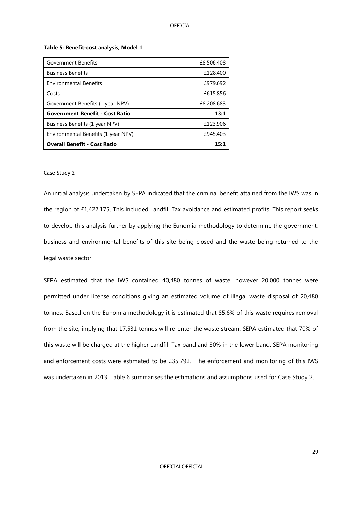#### **Table 5: Benefit-cost analysis, Model 1**

| <b>Government Benefits</b>             | £8,506,408 |
|----------------------------------------|------------|
| <b>Business Benefits</b>               | £128,400   |
| <b>Environmental Benefits</b>          | £979,692   |
| Costs                                  | £615,856   |
| Government Benefits (1 year NPV)       | £8,208,683 |
| <b>Government Benefit - Cost Ratio</b> | 13:1       |
| Business Benefits (1 year NPV)         | £123,906   |
| Environmental Benefits (1 year NPV)    | £945,403   |
| <b>Overall Benefit - Cost Ratio</b>    | 15:1       |

#### <span id="page-28-0"></span>Case Study 2

An initial analysis undertaken by SEPA indicated that the criminal benefit attained from the IWS was in the region of £1,427,175. This included Landfill Tax avoidance and estimated profits. This report seeks to develop this analysis further by applying the Eunomia methodology to determine the government, business and environmental benefits of this site being closed and the waste being returned to the legal waste sector.

SEPA estimated that the IWS contained 40,480 tonnes of waste: however 20,000 tonnes were permitted under license conditions giving an estimated volume of illegal waste disposal of 20,480 tonnes. Based on the Eunomia methodology it is estimated that 85.6% of this waste requires removal from the site, implying that 17,531 tonnes will re-enter the waste stream. SEPA estimated that 70% of this waste will be charged at the higher Landfill Tax band and 30% in the lower band. SEPA monitoring and enforcement costs were estimated to be £35,792. The enforcement and monitoring of this IWS was undertaken in 2013. Table 6 summarises the estimations and assumptions used for Case Study 2.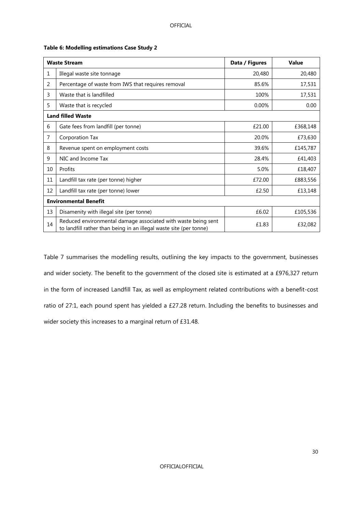|                              | <b>Waste Stream</b>                                                                                                                 | Data / Figures | <b>Value</b> |
|------------------------------|-------------------------------------------------------------------------------------------------------------------------------------|----------------|--------------|
| 1                            | Illegal waste site tonnage                                                                                                          | 20,480         | 20,480       |
| 2                            | Percentage of waste from IWS that requires removal                                                                                  | 85.6%          | 17,531       |
| 3                            | Waste that is landfilled                                                                                                            | 100%           | 17,531       |
| 5                            | Waste that is recycled                                                                                                              | 0.00%          | 0.00         |
|                              | <b>Land filled Waste</b>                                                                                                            |                |              |
| 6                            | Gate fees from landfill (per tonne)                                                                                                 | £21.00         | £368,148     |
| 7                            | <b>Corporation Tax</b>                                                                                                              | 20.0%          | £73,630      |
| 8                            | Revenue spent on employment costs                                                                                                   | 39.6%          | £145,787     |
| 9                            | NIC and Income Tax                                                                                                                  | 28.4%          | £41,403      |
| 10                           | Profits                                                                                                                             | 5.0%           | £18,407      |
| 11                           | Landfill tax rate (per tonne) higher                                                                                                | £72.00         | £883,556     |
| 12                           | Landfill tax rate (per tonne) lower                                                                                                 | £2.50          | £13,148      |
| <b>Environmental Benefit</b> |                                                                                                                                     |                |              |
| 13                           | Disamenity with illegal site (per tonne)                                                                                            | £6.02          | £105,536     |
| 14                           | Reduced environmental damage associated with waste being sent<br>to landfill rather than being in an illegal waste site (per tonne) | £1.83          | £32,082      |

#### **Table 6: Modelling estimations Case Study 2**

Table 7 summarises the modelling results, outlining the key impacts to the government, businesses and wider society. The benefit to the government of the closed site is estimated at a £976,327 return in the form of increased Landfill Tax, as well as employment related contributions with a benefit-cost ratio of 27:1, each pound spent has yielded a £27.28 return. Including the benefits to businesses and wider society this increases to a marginal return of £31.48.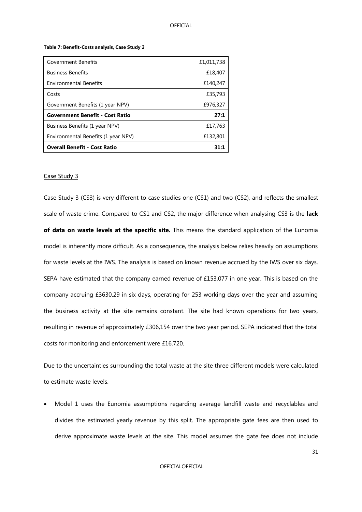#### **Table 7: Benefit-Costs analysis, Case Study 2**

| <b>Government Benefits</b>             | £1,011,738 |
|----------------------------------------|------------|
| <b>Business Benefits</b>               | £18,407    |
| <b>Environmental Benefits</b>          | £140,247   |
| Costs                                  | £35,793    |
| Government Benefits (1 year NPV)       | £976,327   |
| <b>Government Benefit - Cost Ratio</b> | 27:1       |
| Business Benefits (1 year NPV)         | £17,763    |
| Environmental Benefits (1 year NPV)    | £132,801   |
| <b>Overall Benefit - Cost Ratio</b>    | 31:1       |

#### <span id="page-30-0"></span>Case Study 3

Case Study 3 (CS3) is very different to case studies one (CS1) and two (CS2), and reflects the smallest scale of waste crime. Compared to CS1 and CS2, the major difference when analysing CS3 is the **lack of data on waste levels at the specific site.** This means the standard application of the Eunomia model is inherently more difficult. As a consequence, the analysis below relies heavily on assumptions for waste levels at the IWS. The analysis is based on known revenue accrued by the IWS over six days. SEPA have estimated that the company earned revenue of £153,077 in one year. This is based on the company accruing £3630.29 in six days, operating for 253 working days over the year and assuming the business activity at the site remains constant. The site had known operations for two years, resulting in revenue of approximately £306,154 over the two year period. SEPA indicated that the total costs for monitoring and enforcement were £16,720.

Due to the uncertainties surrounding the total waste at the site three different models were calculated to estimate waste levels.

 Model 1 uses the Eunomia assumptions regarding average landfill waste and recyclables and divides the estimated yearly revenue by this split. The appropriate gate fees are then used to derive approximate waste levels at the site. This model assumes the gate fee does not include

#### OFFICIALOFFICIAL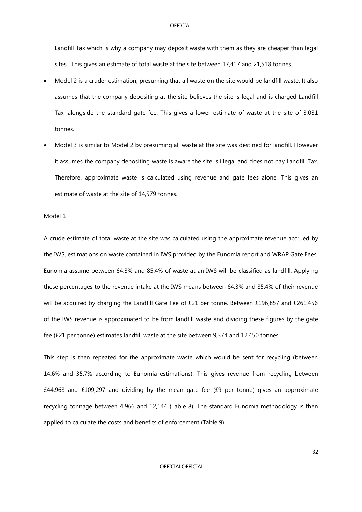Landfill Tax which is why a company may deposit waste with them as they are cheaper than legal sites. This gives an estimate of total waste at the site between 17,417 and 21,518 tonnes.

- Model 2 is a cruder estimation, presuming that all waste on the site would be landfill waste. It also assumes that the company depositing at the site believes the site is legal and is charged Landfill Tax, alongside the standard gate fee. This gives a lower estimate of waste at the site of 3,031 tonnes.
- Model 3 is similar to Model 2 by presuming all waste at the site was destined for landfill. However it assumes the company depositing waste is aware the site is illegal and does not pay Landfill Tax. Therefore, approximate waste is calculated using revenue and gate fees alone. This gives an estimate of waste at the site of 14,579 tonnes.

#### Model 1

A crude estimate of total waste at the site was calculated using the approximate revenue accrued by the IWS, estimations on waste contained in IWS provided by the Eunomia report and WRAP Gate Fees. Eunomia assume between 64.3% and 85.4% of waste at an IWS will be classified as landfill. Applying these percentages to the revenue intake at the IWS means between 64.3% and 85.4% of their revenue will be acquired by charging the Landfill Gate Fee of £21 per tonne. Between £196,857 and £261,456 of the IWS revenue is approximated to be from landfill waste and dividing these figures by the gate fee (£21 per tonne) estimates landfill waste at the site between 9,374 and 12,450 tonnes.

This step is then repeated for the approximate waste which would be sent for recycling (between 14.6% and 35.7% according to Eunomia estimations). This gives revenue from recycling between  $£44,968$  and £109,297 and dividing by the mean gate fee  $(E9$  per tonne) gives an approximate recycling tonnage between 4,966 and 12,144 (Table 8). The standard Eunomia methodology is then applied to calculate the costs and benefits of enforcement (Table 9).

#### OFFICIALOFFICIAL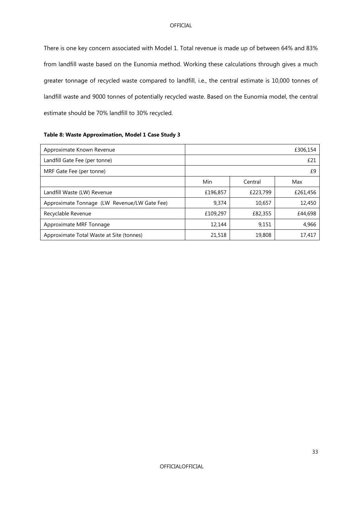There is one key concern associated with Model 1. Total revenue is made up of between 64% and 83% from landfill waste based on the Eunomia method. Working these calculations through gives a much greater tonnage of recycled waste compared to landfill, i.e., the central estimate is 10,000 tonnes of landfill waste and 9000 tonnes of potentially recycled waste. Based on the Eunomia model, the central estimate should be 70% landfill to 30% recycled.

#### **Table 8: Waste Approximation, Model 1 Case Study 3**

| Approximate Known Revenue                    | £306,154 |          |          |
|----------------------------------------------|----------|----------|----------|
| Landfill Gate Fee (per tonne)                | £21      |          |          |
| MRF Gate Fee (per tonne)                     |          |          | £9       |
|                                              | Min      | Central  | Max      |
| Landfill Waste (LW) Revenue                  | £196,857 | £223,799 | £261,456 |
| Approximate Tonnage (LW Revenue/LW Gate Fee) | 9,374    | 10,657   | 12,450   |
| Recyclable Revenue                           | £109,297 | £82,355  | £44,698  |
| Approximate MRF Tonnage                      | 12,144   | 9,151    | 4,966    |
| Approximate Total Waste at Site (tonnes)     | 21,518   | 19,808   | 17,417   |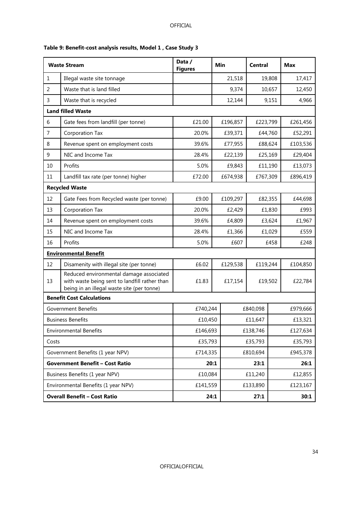| <b>Waste Stream</b>                    |                                                                                                                                        | Data /<br><b>Figures</b> | Min      | Central  |       | Max      |
|----------------------------------------|----------------------------------------------------------------------------------------------------------------------------------------|--------------------------|----------|----------|-------|----------|
| $\mathbf{1}$                           | Illegal waste site tonnage                                                                                                             |                          | 21,518   | 19,808   |       | 17,417   |
| $\overline{2}$                         | Waste that is land filled                                                                                                              |                          | 9,374    | 10,657   |       | 12,450   |
| 3                                      | Waste that is recycled                                                                                                                 |                          | 12,144   |          | 9,151 | 4,966    |
|                                        | <b>Land filled Waste</b>                                                                                                               |                          |          |          |       |          |
| 6                                      | Gate fees from landfill (per tonne)                                                                                                    | £21.00                   | £196,857 | £223,799 |       | £261,456 |
| $\overline{7}$                         | Corporation Tax                                                                                                                        | 20.0%                    | £39,371  | £44,760  |       | £52,291  |
| 8                                      | Revenue spent on employment costs                                                                                                      | 39.6%                    | £77,955  | £88,624  |       | £103,536 |
| 9                                      | NIC and Income Tax                                                                                                                     | 28.4%                    | £22,139  | £25,169  |       | £29,404  |
| 10                                     | Profits                                                                                                                                | 5.0%                     | £9,843   | £11,190  |       | £13,073  |
| 11                                     | Landfill tax rate (per tonne) higher                                                                                                   | £72.00                   | £674,938 | £767,309 |       | £896,419 |
|                                        | <b>Recycled Waste</b>                                                                                                                  |                          |          |          |       |          |
| 12                                     | Gate Fees from Recycled waste (per tonne)                                                                                              | £9.00                    | £109,297 | £82,355  |       | £44,698  |
| 13                                     | Corporation Tax                                                                                                                        | 20.0%                    | £2,429   | £1,830   |       | £993     |
| 14                                     | Revenue spent on employment costs                                                                                                      | 39.6%                    | £4,809   | £3,624   |       | £1,967   |
| 15                                     | NIC and Income Tax                                                                                                                     | 28.4%                    | £1,366   | £1,029   |       | £559     |
| 16                                     | Profits                                                                                                                                | 5.0%                     | £607     | £458     |       | £248     |
|                                        | <b>Environmental Benefit</b>                                                                                                           |                          |          |          |       |          |
| 12                                     | Disamenity with illegal site (per tonne)                                                                                               | £6.02                    | £129,538 | £119,244 |       | £104,850 |
| 13                                     | Reduced environmental damage associated<br>with waste being sent to landfill rather than<br>being in an illegal waste site (per tonne) | £1.83                    | £17,154  | £19,502  |       | £22,784  |
|                                        | <b>Benefit Cost Calculations</b>                                                                                                       |                          |          |          |       |          |
|                                        | <b>Government Benefits</b>                                                                                                             | £740,244                 |          | £840,098 |       | £979,666 |
| <b>Business Benefits</b>               |                                                                                                                                        | £10,450                  |          | £11,647  |       | £13,321  |
| <b>Environmental Benefits</b>          |                                                                                                                                        | £146,693                 |          | £138,746 |       | £127,634 |
| Costs                                  |                                                                                                                                        | £35,793                  |          | £35,793  |       | £35,793  |
| Government Benefits (1 year NPV)       |                                                                                                                                        | £714,335                 | £810,694 |          |       | £945,378 |
| <b>Government Benefit - Cost Ratio</b> |                                                                                                                                        |                          | 20:1     | 23:1     |       | 26:1     |
| Business Benefits (1 year NPV)         |                                                                                                                                        | £10,084                  |          | £11,240  |       | £12,855  |
| Environmental Benefits (1 year NPV)    |                                                                                                                                        | £141,559                 |          | £133,890 |       | £123,167 |

#### **Table 9: Benefit-cost analysis results, Model 1 , Case Study 3**

**Overall Benefit – Cost Ratio 24:1 27:1 27:1 27:1 30:1**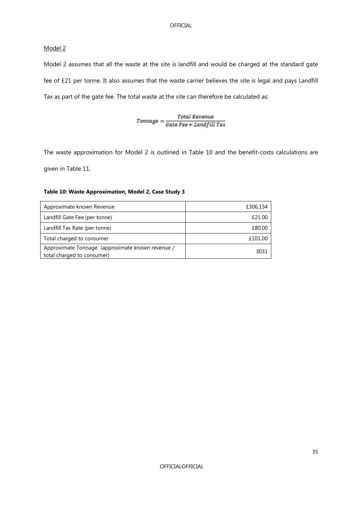#### Model 2

Model 2 assumes that all the waste at the site is landfill and would be charged at the standard gate fee of £21 per tonne. It also assumes that the waste carrier believes the site is legal and pays Landfill Tax as part of the gate fee. The total waste at the site can therefore be calculated as:

 $\label{eq:1} \small \textit{Tomnage} = \frac{\small \textit{Total Revenue}}{\small \textit{Gate Free} + \small \textit{Landfill Tax}}$ 

The waste approximation for Model 2 is outlined in Table 10 and the benefit-costs calculations are given in Table 11.

#### **Table 10: Waste Approximation, Model 2, Case Study 3**

| Approximate known Revenue                                                      | £306,154 |
|--------------------------------------------------------------------------------|----------|
| Landfill Gate Fee (per tonne)                                                  | £21.00   |
| Landfill Tax Rate (per tonne)                                                  | £80.00   |
| Total charged to consumer                                                      | £101.00  |
| Approximate Tonnage (approximate known revenue /<br>total charged to consumer) | 3031     |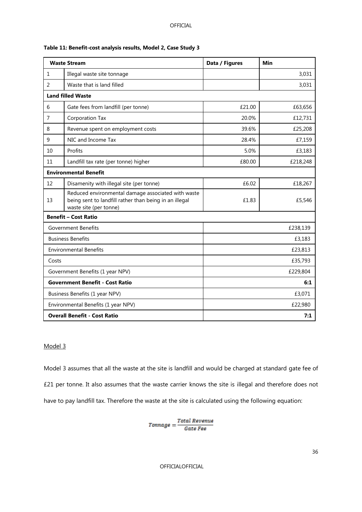| <b>Waste Stream</b>                    |                                                                                                                                        | Data / Figures | Min      |  |
|----------------------------------------|----------------------------------------------------------------------------------------------------------------------------------------|----------------|----------|--|
| 1                                      | Illegal waste site tonnage                                                                                                             |                | 3,031    |  |
| 2                                      | Waste that is land filled                                                                                                              |                | 3.031    |  |
|                                        | <b>Land filled Waste</b>                                                                                                               |                |          |  |
| 6                                      | Gate fees from landfill (per tonne)                                                                                                    | £21.00         | £63,656  |  |
| 7                                      | Corporation Tax                                                                                                                        | 20.0%          | £12,731  |  |
| 8                                      | Revenue spent on employment costs                                                                                                      | 39.6%          | £25,208  |  |
| 9                                      | NIC and Income Tax                                                                                                                     | 28.4%          | £7,159   |  |
| 10                                     | Profits                                                                                                                                | 5.0%           | £3,183   |  |
| 11                                     | Landfill tax rate (per tonne) higher                                                                                                   | £80.00         | £218,248 |  |
|                                        | <b>Environmental Benefit</b>                                                                                                           |                |          |  |
| 12                                     | Disamenity with illegal site (per tonne)                                                                                               | £6.02          | £18,267  |  |
| 13                                     | Reduced environmental damage associated with waste<br>being sent to landfill rather than being in an illegal<br>waste site (per tonne) | £1.83          | £5,546   |  |
| <b>Benefit - Cost Ratio</b>            |                                                                                                                                        |                |          |  |
| <b>Government Benefits</b>             |                                                                                                                                        |                | £238,139 |  |
| <b>Business Benefits</b>               |                                                                                                                                        | £3,183         |          |  |
| <b>Environmental Benefits</b>          |                                                                                                                                        | £23,813        |          |  |
| Costs                                  |                                                                                                                                        | £35,793        |          |  |
| Government Benefits (1 year NPV)       |                                                                                                                                        | £229,804       |          |  |
| <b>Government Benefit - Cost Ratio</b> |                                                                                                                                        |                | 6:1      |  |
| Business Benefits (1 year NPV)         |                                                                                                                                        | £3,071         |          |  |
| Environmental Benefits (1 year NPV)    |                                                                                                                                        | £22,980        |          |  |
|                                        | <b>Overall Benefit - Cost Ratio</b>                                                                                                    |                | 7:1      |  |

#### **Table 11: Benefit-cost analysis results, Model 2, Case Study 3**

#### Model 3

Model 3 assumes that all the waste at the site is landfill and would be charged at standard gate fee of £21 per tonne. It also assumes that the waste carrier knows the site is illegal and therefore does not have to pay landfill tax. Therefore the waste at the site is calculated using the following equation:

$$
\mathit{Tomage} = \frac{\mathit{Total Revenue}}{\mathit{Gate\,} \mathit{See}}
$$

36

OFFICIALOFFICIAL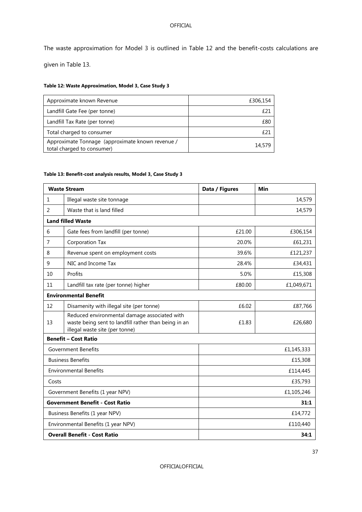The waste approximation for Model 3 is outlined in Table 12 and the benefit-costs calculations are

given in Table 13.

#### **Table 12: Waste Approximation, Model 3, Case Study 3**

| Approximate known Revenue                                                      | £306,154 |
|--------------------------------------------------------------------------------|----------|
| Landfill Gate Fee (per tonne)                                                  |          |
| Landfill Tax Rate (per tonne)                                                  | £80      |
| Total charged to consumer                                                      |          |
| Approximate Tonnage (approximate known revenue /<br>total charged to consumer) | 14,579   |

#### **Table 13: Benefit-cost analysis results, Model 3, Case Study 3**

| <b>Waste Stream</b>                    |                                                                                                                                        | Data / Figures | Min        |  |
|----------------------------------------|----------------------------------------------------------------------------------------------------------------------------------------|----------------|------------|--|
| $\mathbf{1}$                           | Illegal waste site tonnage                                                                                                             |                | 14,579     |  |
| 2                                      | Waste that is land filled                                                                                                              |                | 14,579     |  |
|                                        | <b>Land filled Waste</b>                                                                                                               |                |            |  |
| 6                                      | Gate fees from landfill (per tonne)                                                                                                    | £21.00         | £306,154   |  |
| $\overline{7}$                         | Corporation Tax                                                                                                                        | 20.0%          | £61,231    |  |
| 8                                      | Revenue spent on employment costs                                                                                                      | 39.6%          | £121,237   |  |
| 9                                      | NIC and Income Tax                                                                                                                     | 28.4%          | £34,431    |  |
| 10                                     | Profits                                                                                                                                | 5.0%           | £15,308    |  |
| 11                                     | Landfill tax rate (per tonne) higher                                                                                                   | £80.00         | £1,049,671 |  |
|                                        | <b>Environmental Benefit</b>                                                                                                           |                |            |  |
| 12                                     | Disamenity with illegal site (per tonne)                                                                                               | £6.02          | £87,766    |  |
| 13                                     | Reduced environmental damage associated with<br>waste being sent to landfill rather than being in an<br>illegal waste site (per tonne) | £1.83          | £26,680    |  |
|                                        | <b>Benefit - Cost Ratio</b>                                                                                                            |                |            |  |
|                                        | <b>Government Benefits</b>                                                                                                             | £1,145,333     |            |  |
|                                        | <b>Business Benefits</b>                                                                                                               | £15,308        |            |  |
| <b>Environmental Benefits</b>          |                                                                                                                                        | £114,445       |            |  |
| Costs                                  |                                                                                                                                        | £35,793        |            |  |
| Government Benefits (1 year NPV)       |                                                                                                                                        | £1,105,246     |            |  |
| <b>Government Benefit - Cost Ratio</b> |                                                                                                                                        |                | 31:1       |  |
| Business Benefits (1 year NPV)         |                                                                                                                                        | £14,772        |            |  |
| Environmental Benefits (1 year NPV)    |                                                                                                                                        | £110,440       |            |  |
| <b>Overall Benefit - Cost Ratio</b>    |                                                                                                                                        |                | 34:1       |  |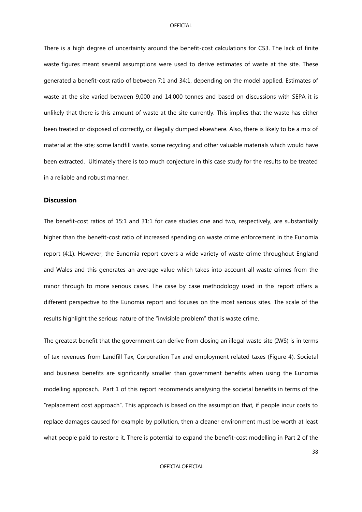There is a high degree of uncertainty around the benefit-cost calculations for CS3. The lack of finite waste figures meant several assumptions were used to derive estimates of waste at the site. These generated a benefit-cost ratio of between 7:1 and 34:1, depending on the model applied. Estimates of waste at the site varied between 9,000 and 14,000 tonnes and based on discussions with SEPA it is unlikely that there is this amount of waste at the site currently. This implies that the waste has either been treated or disposed of correctly, or illegally dumped elsewhere. Also, there is likely to be a mix of material at the site; some landfill waste, some recycling and other valuable materials which would have been extracted. Ultimately there is too much conjecture in this case study for the results to be treated in a reliable and robust manner.

#### <span id="page-37-0"></span>**Discussion**

The benefit-cost ratios of 15:1 and 31:1 for case studies one and two, respectively, are substantially higher than the benefit-cost ratio of increased spending on waste crime enforcement in the Eunomia report (4:1). However, the Eunomia report covers a wide variety of waste crime throughout England and Wales and this generates an average value which takes into account all waste crimes from the minor through to more serious cases. The case by case methodology used in this report offers a different perspective to the Eunomia report and focuses on the most serious sites. The scale of the results highlight the serious nature of the "invisible problem" that is waste crime.

The greatest benefit that the government can derive from closing an illegal waste site (IWS) is in terms of tax revenues from Landfill Tax, Corporation Tax and employment related taxes (Figure 4). Societal and business benefits are significantly smaller than government benefits when using the Eunomia modelling approach. Part 1 of this report recommends analysing the societal benefits in terms of the "replacement cost approach". This approach is based on the assumption that, if people incur costs to replace damages caused for example by pollution, then a cleaner environment must be worth at least what people paid to restore it. There is potential to expand the benefit-cost modelling in Part 2 of the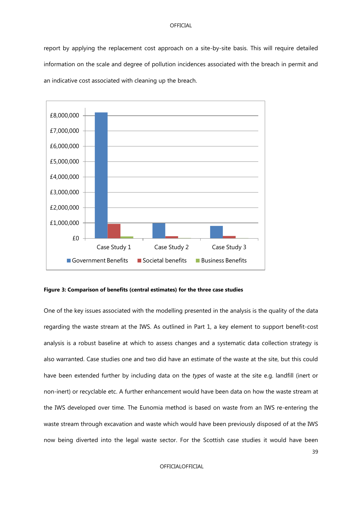report by applying the replacement cost approach on a site-by-site basis. This will require detailed information on the scale and degree of pollution incidences associated with the breach in permit and an indicative cost associated with cleaning up the breach.



**Figure 3: Comparison of benefits (central estimates) for the three case studies**

One of the key issues associated with the modelling presented in the analysis is the quality of the data regarding the waste stream at the IWS. As outlined in Part 1, a key element to support benefit-cost analysis is a robust baseline at which to assess changes and a systematic data collection strategy is also warranted. Case studies one and two did have an estimate of the waste at the site, but this could have been extended further by including data on the *types* of waste at the site e.g. landfill (inert or non-inert) or recyclable etc. A further enhancement would have been data on how the waste stream at the IWS developed over time. The Eunomia method is based on waste from an IWS re-entering the waste stream through excavation and waste which would have been previously disposed of at the IWS now being diverted into the legal waste sector. For the Scottish case studies it would have been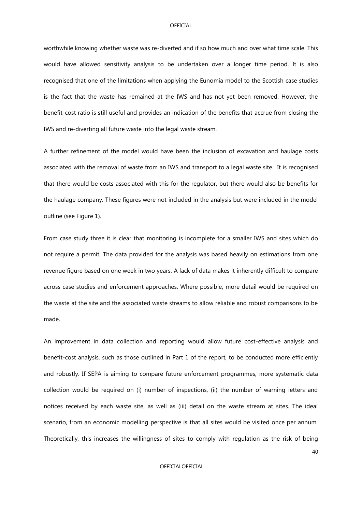worthwhile knowing whether waste was re-diverted and if so how much and over what time scale. This would have allowed sensitivity analysis to be undertaken over a longer time period. It is also recognised that one of the limitations when applying the Eunomia model to the Scottish case studies is the fact that the waste has remained at the IWS and has not yet been removed. However, the benefit-cost ratio is still useful and provides an indication of the benefits that accrue from closing the IWS and re-diverting all future waste into the legal waste stream.

A further refinement of the model would have been the inclusion of excavation and haulage costs associated with the removal of waste from an IWS and transport to a legal waste site. It is recognised that there would be costs associated with this for the regulator, but there would also be benefits for the haulage company. These figures were not included in the analysis but were included in the model outline (see Figure 1).

From case study three it is clear that monitoring is incomplete for a smaller IWS and sites which do not require a permit. The data provided for the analysis was based heavily on estimations from one revenue figure based on one week in two years. A lack of data makes it inherently difficult to compare across case studies and enforcement approaches. Where possible, more detail would be required on the waste at the site and the associated waste streams to allow reliable and robust comparisons to be made.

An improvement in data collection and reporting would allow future cost-effective analysis and benefit-cost analysis, such as those outlined in Part 1 of the report, to be conducted more efficiently and robustly. If SEPA is aiming to compare future enforcement programmes, more systematic data collection would be required on (i) number of inspections, (ii) the number of warning letters and notices received by each waste site, as well as (iii) detail on the waste stream at sites. The ideal scenario, from an economic modelling perspective is that all sites would be visited once per annum. Theoretically, this increases the willingness of sites to comply with regulation as the risk of being

#### OFFICIALOFFICIAL

40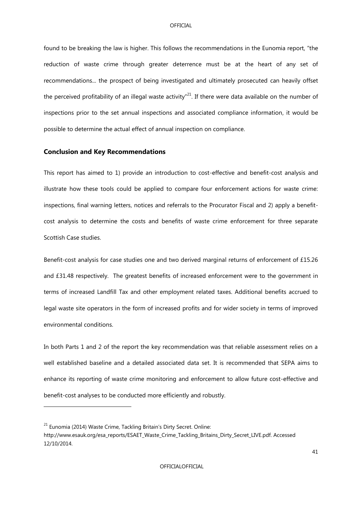found to be breaking the law is higher. This follows the recommendations in the Eunomia report, "the reduction of waste crime through greater deterrence must be at the heart of any set of recommendations... the prospect of being investigated and ultimately prosecuted can heavily offset the perceived profitability of an illegal waste activity"<sup>21</sup>. If there were data available on the number of inspections prior to the set annual inspections and associated compliance information, it would be possible to determine the actual effect of annual inspection on compliance.

#### <span id="page-40-0"></span>**Conclusion and Key Recommendations**

This report has aimed to 1) provide an introduction to cost-effective and benefit-cost analysis and illustrate how these tools could be applied to compare four enforcement actions for waste crime: inspections, final warning letters, notices and referrals to the Procurator Fiscal and 2) apply a benefitcost analysis to determine the costs and benefits of waste crime enforcement for three separate Scottish Case studies.

Benefit-cost analysis for case studies one and two derived marginal returns of enforcement of £15.26 and £31.48 respectively. The greatest benefits of increased enforcement were to the government in terms of increased Landfill Tax and other employment related taxes. Additional benefits accrued to legal waste site operators in the form of increased profits and for wider society in terms of improved environmental conditions.

In both Parts 1 and 2 of the report the key recommendation was that reliable assessment relies on a well established baseline and a detailed associated data set. It is recommended that SEPA aims to enhance its reporting of waste crime monitoring and enforcement to allow future cost-effective and benefit-cost analyses to be conducted more efficiently and robustly.

 $\overline{a}$ 

<sup>&</sup>lt;sup>21</sup> Eunomia (2014) Waste Crime, Tackling Britain's Dirty Secret. Online:

http://www.esauk.org/esa\_reports/ESAET\_Waste\_Crime\_Tackling\_Britains\_Dirty\_Secret\_LIVE.pdf. Accessed 12/10/2014.